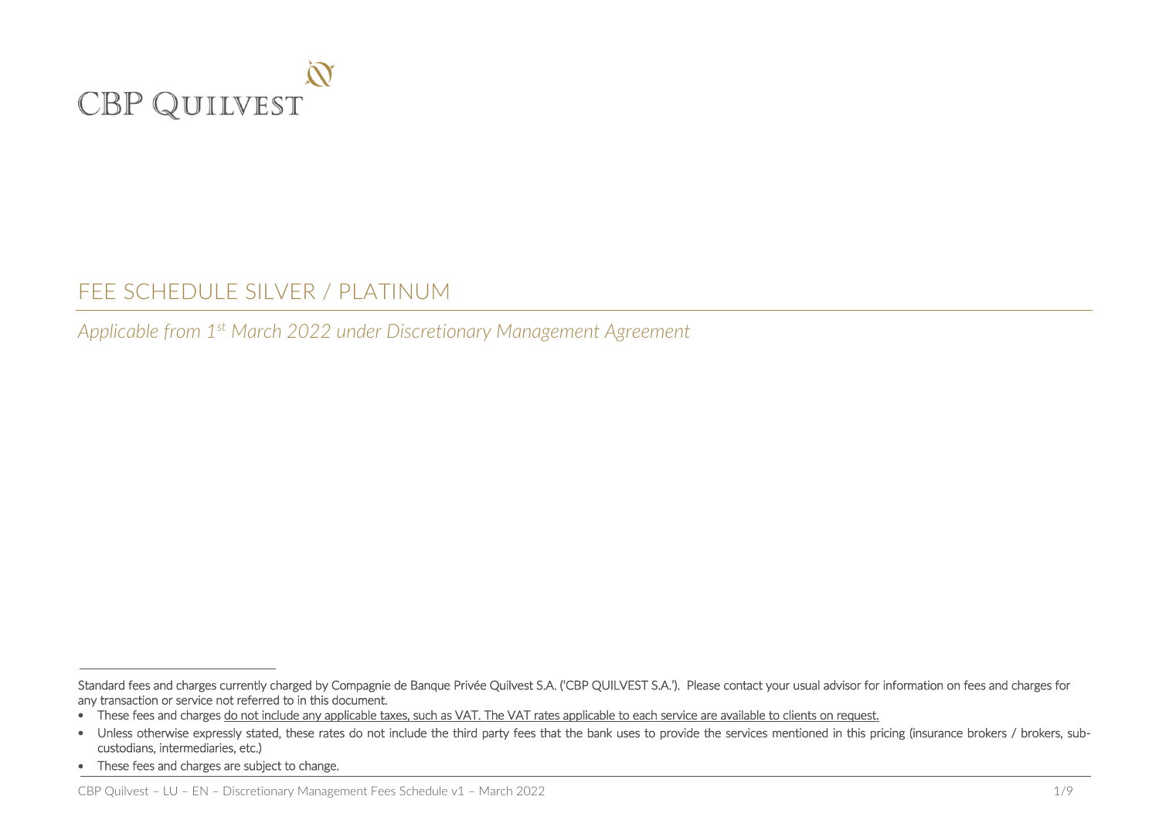

# FEE SCHEDULE SILVER / PLATINUM

*Applicable from 1 st March 2022 under Discretionary Management Agreement* 

j

Standard fees and charges currently charged by Compagnie de Banque Privée Quilvest S.A. ('CBP QUILVEST S.A.'). Please contact your usual advisor for information on fees and charges for any transaction or service not referred to in this document.

<sup>•</sup> These fees and charges do not include any applicable taxes, such as VAT. The VAT rates applicable to each service are available to clients on request.

<sup>•</sup> Unless otherwise expressly stated, these rates do not include the third party fees that the bank uses to provide the services mentioned in this pricing (insurance brokers / brokers, subcustodians, intermediaries, etc.)

<sup>•</sup> These fees and charges are subject to change.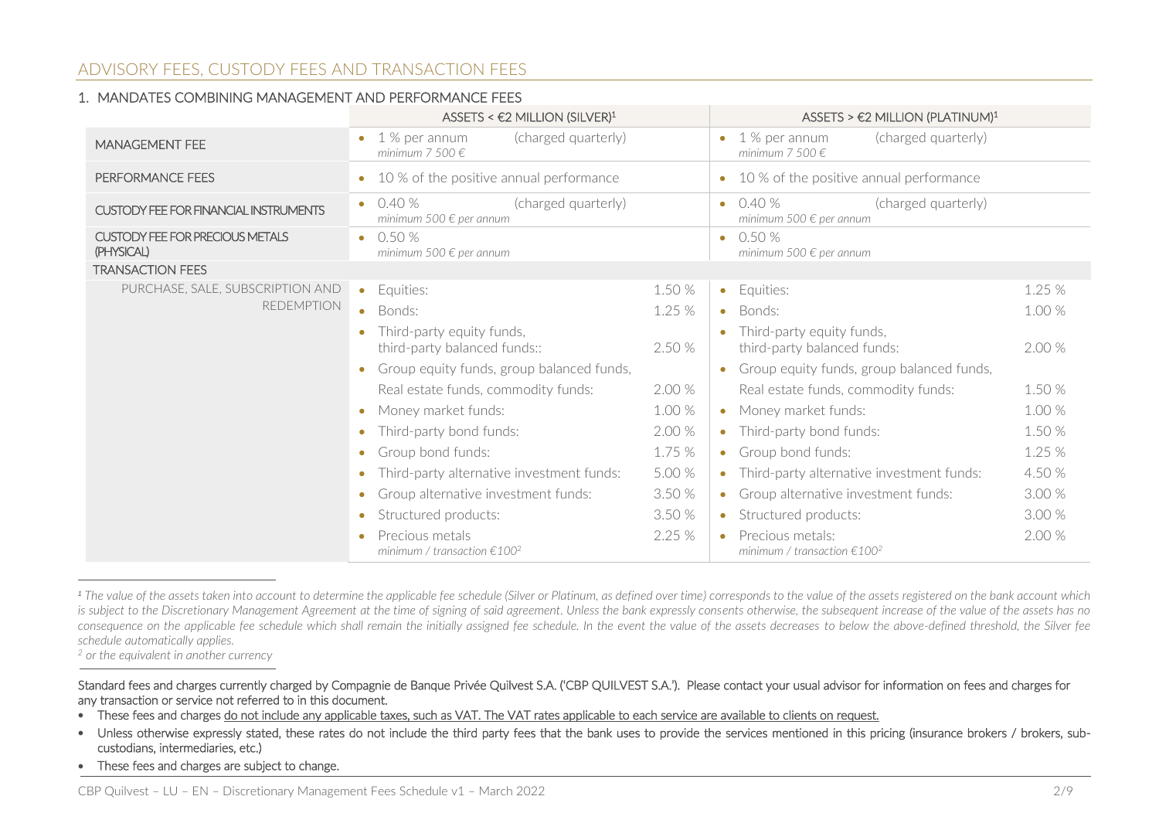# ADVISORY FEES, CUSTODY FEES AND TRANSACTION FEES

#### 1. MANDATES COMBINING MANAGEMENT AND PERFORMANCE FEES

|                                                      | ASSETS < $\epsilon$ 2 MILLION (SILVER) <sup>1</sup>                               |        | ASSETS > $\epsilon$ 2 MILLION (PLATINUM) <sup>1</sup>                                        |
|------------------------------------------------------|-----------------------------------------------------------------------------------|--------|----------------------------------------------------------------------------------------------|
| <b>MANAGEMENT FEE</b>                                | (charged quarterly)<br>1 % per annum<br>minimum 7 500 $\epsilon$                  |        | (charged quarterly)<br>1 % per annum<br>$\bullet$<br>minimum 7 500 $\in$                     |
| PERFORMANCE FEES                                     | 10 % of the positive annual performance<br>$\bullet$                              |        | 10 % of the positive annual performance<br>$\bullet$                                         |
| <b>CUSTODY FEE FOR FINANCIAL INSTRUMENTS</b>         | 0.40%<br>(charged quarterly)<br>$\bullet$<br>minimum 500 $\in$ per annum          |        | (charged quarterly)<br>0.40%<br>$\bullet$<br>minimum 500 $\in$ per annum                     |
| <b>CUSTODY FEE FOR PRECIOUS METALS</b><br>(PHYSICAL) | 0.50 %<br>$\bullet$<br>minimum 500 $\in$ per annum                                |        | 0.50 %<br>$\bullet$<br>minimum 500 $\in$ per annum                                           |
| <b>TRANSACTION FEES</b>                              |                                                                                   |        |                                                                                              |
| PURCHASE, SALE, SUBSCRIPTION AND                     | Equities:<br>$\bullet$                                                            | 1.50 % | Equities:<br>1.25 %<br>$\bullet$                                                             |
| <b>REDEMPTION</b>                                    | Bonds:                                                                            | 1.25 % | 1.00 %<br>Bonds:<br>$\bullet$                                                                |
|                                                      | Third-party equity funds,<br>third-party balanced funds::                         | 2.50 % | Third-party equity funds,<br>$\bullet$<br>third-party balanced funds:<br>2.00 %              |
|                                                      | Group equity funds, group balanced funds,                                         |        | Group equity funds, group balanced funds,<br>$\bullet$                                       |
|                                                      | Real estate funds, commodity funds:                                               | 2.00 % | 1.50 %<br>Real estate funds, commodity funds:                                                |
|                                                      | Money market funds:<br>$\bullet$                                                  | 1.00 % | 1.00 %<br>Money market funds:<br>$\bullet$                                                   |
|                                                      | Third-party bond funds:<br>$\bullet$                                              | 2.00 % | 1.50 %<br>Third-party bond funds:<br>$\bullet$                                               |
|                                                      | Group bond funds:<br>$\bullet$                                                    | 1.75 % | Group bond funds:<br>1.25 %<br>$\bullet$                                                     |
|                                                      | Third-party alternative investment funds:                                         | 5.00 % | 4.50 %<br>Third-party alternative investment funds:<br>$\bullet$                             |
|                                                      | Group alternative investment funds:<br>$\bullet$                                  | 3.50 % | 3.00 %<br>• Group alternative investment funds:                                              |
|                                                      | Structured products:<br>$\bullet$                                                 | 3.50 % | 3.00 %<br>Structured products:<br>$\bullet$                                                  |
|                                                      | Precious metals<br>$\bullet$<br>minimum / transaction $\epsilon$ 100 <sup>2</sup> | 2.25 % | 2.00 %<br>Precious metals:<br>$\bullet$<br>minimum / transaction $\epsilon$ 100 <sup>2</sup> |

*<sup>1</sup> The value of the assets taken into account to determine the applicable fee schedule (Silver or Platinum, as defined over time) corresponds to the value of the assets registered on the bank account which*  is subject to the Discretionary Management Agreement at the time of signing of said agreement. Unless the bank expressly consents otherwise, the subsequent increase of the value of the assets has no *consequence on the applicable fee schedule which shall remain the initially assigned fee schedule. In the event the value of the assets decreases to below the above-defined threshold, the Silver fee schedule automatically applies.*

*<sup>2</sup> or the equivalent in another currency*

j

- Unless otherwise expressly stated, these rates do not include the third party fees that the bank uses to provide the services mentioned in this pricing (insurance brokers / brokers, subcustodians, intermediaries, etc.)
- These fees and charges are subject to change.

Standard fees and charges currently charged by Compagnie de Banque Privée Quilvest S.A. ('CBP QUILVEST S.A.'). Please contact your usual advisor for information on fees and charges for any transaction or service not referred to in this document.

<sup>•</sup> These fees and charges do not include any applicable taxes, such as VAT. The VAT rates applicable to each service are available to clients on request.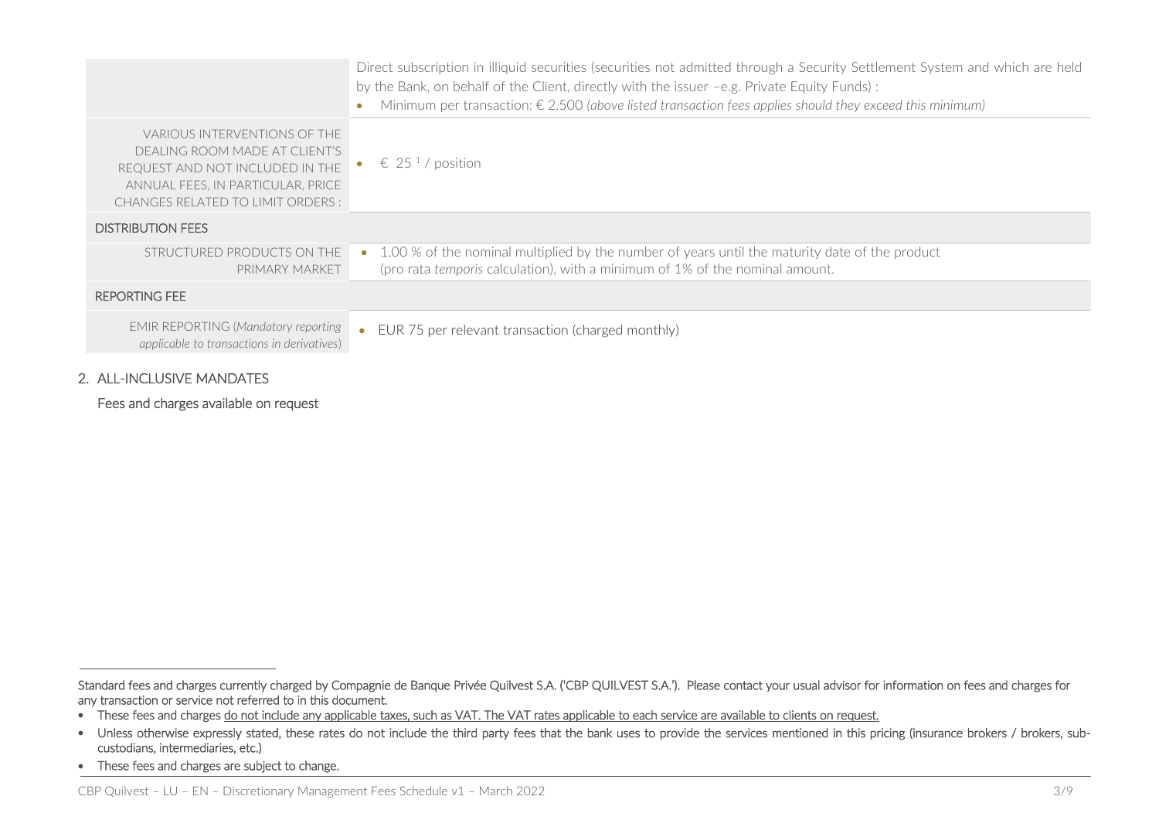|                                                                                                                                                                            | Direct subscription in illiquid securities (securities not admitted through a Security Settlement System and which are held<br>by the Bank, on behalf of the Client, directly with the issuer -e.g. Private Equity Funds):<br>Minimum per transaction: $\epsilon$ 2.500 (above listed transaction fees applies should they exceed this minimum) |
|----------------------------------------------------------------------------------------------------------------------------------------------------------------------------|-------------------------------------------------------------------------------------------------------------------------------------------------------------------------------------------------------------------------------------------------------------------------------------------------------------------------------------------------|
| VARIOUS INTERVENTIONS OF THE<br>DEALING ROOM MADE AT CLIENT'S<br>REQUEST AND NOT INCLUDED IN THE<br>ANNUAL FEES, IN PARTICULAR, PRICE<br>CHANGES RELATED TO LIMIT ORDERS : | $\epsilon$ 25 <sup>1</sup> /position                                                                                                                                                                                                                                                                                                            |
| <b>DISTRIBUTION FEES</b>                                                                                                                                                   |                                                                                                                                                                                                                                                                                                                                                 |
| STRUCTURED PRODUCTS ON THE<br>PRIMARY MARKET                                                                                                                               | 1.00 % of the nominal multiplied by the number of years until the maturity date of the product<br>(pro rata temporis calculation), with a minimum of 1% of the nominal amount.                                                                                                                                                                  |
| <b>REPORTING FEE</b>                                                                                                                                                       |                                                                                                                                                                                                                                                                                                                                                 |
| <b>EMIR REPORTING (Mandatory reporting</b><br>applicable to transactions in derivatives)                                                                                   | EUR 75 per relevant transaction (charged monthly)<br>$\bullet$                                                                                                                                                                                                                                                                                  |

#### 2. ALL-INCLUSIVE MANDATES

Fees and charges available on request

j

Standard fees and charges currently charged by Compagnie de Banque Privée Quilvest S.A. ('CBP QUILVEST S.A.'). Please contact your usual advisor for information on fees and charges for any transaction or service not referred to in this document.

<sup>•</sup> These fees and charges do not include any applicable taxes, such as VAT. The VAT rates applicable to each service are available to clients on request.

<sup>•</sup> Unless otherwise expressly stated, these rates do not include the third party fees that the bank uses to provide the services mentioned in this pricing (insurance brokers / brokers, subcustodians, intermediaries, etc.)

<sup>•</sup> These fees and charges are subject to change.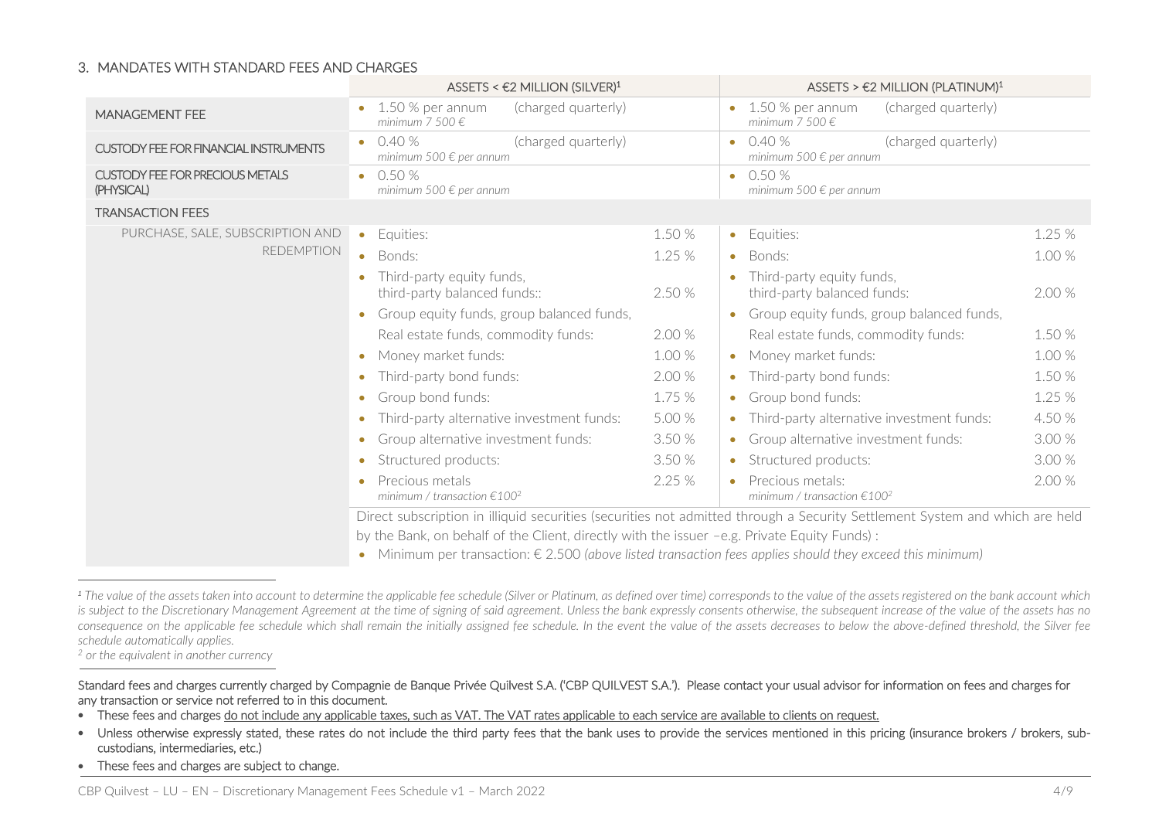#### 3. MANDATES WITH STANDARD FEES AND CHARGES

|                                                      | ASSETS < $\epsilon$ 2 MILLION (SILVER) <sup>1</sup>                                                                         |        | ASSETS > $\epsilon$ 2 MILLION (PLATINUM) <sup>1</sup>                                        |  |  |
|------------------------------------------------------|-----------------------------------------------------------------------------------------------------------------------------|--------|----------------------------------------------------------------------------------------------|--|--|
| <b>MANAGEMENT FEE</b>                                | (charged quarterly)<br>1.50 % per annum<br>minimum 7.500 $\in$                                                              |        | 1.50 % per annum<br>(charged quarterly)<br>minimum 7 500 $\in$                               |  |  |
| <b>CUSTODY FEE FOR FINANCIAL INSTRUMENTS</b>         | 0.40%<br>(charged quarterly)<br>$\bullet$<br>minimum 500 $\epsilon$ per annum                                               |        | (charged quarterly)<br>0.40%<br>$\bullet$<br>minimum 500 $\epsilon$ per annum                |  |  |
| <b>CUSTODY FEE FOR PRECIOUS METALS</b><br>(PHYSICAL) | 0.50%<br>$\bullet$<br>minimum 500 $\epsilon$ per annum                                                                      |        | 0.50%<br>$\bullet$<br>minimum 500 $\epsilon$ per annum                                       |  |  |
| <b>TRANSACTION FEES</b>                              |                                                                                                                             |        |                                                                                              |  |  |
| PURCHASE, SALE, SUBSCRIPTION AND                     | Equities:<br>$\bullet$                                                                                                      | 1.50 % | 1.25%<br>Equities:<br>$\bullet$                                                              |  |  |
| <b>REDEMPTION</b>                                    | Bonds:<br>$\bullet$                                                                                                         | 1.25%  | 1.00 %<br>Bonds:<br>$\bullet$                                                                |  |  |
|                                                      | Third-party equity funds,<br>2.50 %<br>third-party balanced funds::                                                         |        | Third-party equity funds,<br>2.00 %<br>third-party balanced funds:                           |  |  |
|                                                      | Group equity funds, group balanced funds,<br>$\bullet$                                                                      |        | Group equity funds, group balanced funds,<br>$\bullet$                                       |  |  |
|                                                      | 2.00 %<br>Real estate funds, commodity funds:                                                                               |        | 1.50 %<br>Real estate funds, commodity funds:                                                |  |  |
|                                                      | Money market funds:<br>$\bullet$                                                                                            | 1.00 % | 1.00 %<br>Money market funds:<br>$\bullet$                                                   |  |  |
|                                                      | Third-party bond funds:<br>٠                                                                                                | 2.00 % | 1.50 %<br>Third-party bond funds:<br>$\bullet$                                               |  |  |
|                                                      | Group bond funds:<br>$\bullet$                                                                                              | 1.75 % | 1.25 %<br>Group bond funds:<br>$\bullet$                                                     |  |  |
|                                                      | Third-party alternative investment funds:                                                                                   | 5.00 % | 4.50 %<br>Third-party alternative investment funds:                                          |  |  |
|                                                      | Group alternative investment funds:<br>$\bullet$                                                                            | 3.50 % | 3.00 %<br>Group alternative investment funds:<br>$\bullet$                                   |  |  |
|                                                      | Structured products:<br>$\bullet$                                                                                           | 3.50%  | 3.00 %<br>Structured products:<br>$\bullet$                                                  |  |  |
|                                                      | Precious metals<br>$\bullet$<br>minimum / transaction $\epsilon$ 100 <sup>2</sup>                                           | 2.25 % | 2.00 %<br>Precious metals:<br>$\bullet$<br>minimum / transaction $\epsilon$ 100 <sup>2</sup> |  |  |
|                                                      | Direct subscription in illiquid securities (securities not admitted through a Security Settlement System and which are held |        |                                                                                              |  |  |
|                                                      | by the Bank, on behalf of the Client, directly with the issuer -e.g. Private Equity Funds):                                 |        |                                                                                              |  |  |

Minimum per transaction: € 2.500 *(above listed transaction fees applies should they exceed this minimum)*

*<sup>2</sup> or the equivalent in another currency*

j

- Unless otherwise expressly stated, these rates do not include the third party fees that the bank uses to provide the services mentioned in this pricing (insurance brokers / brokers, subcustodians, intermediaries, etc.)
- These fees and charges are subject to change.

<sup>&</sup>lt;sup>1</sup> The value of the assets taken into account to determine the applicable fee schedule (Silver or Platinum, as defined over time) corresponds to the value of the assets registered on the bank account which is subject to the Discretionary Management Agreement at the time of signing of said agreement. Unless the bank expressly consents otherwise, the subsequent increase of the value of the assets has no *consequence on the applicable fee schedule which shall remain the initially assigned fee schedule. In the event the value of the assets decreases to below the above-defined threshold, the Silver fee schedule automatically applies.*

Standard fees and charges currently charged by Compagnie de Banque Privée Quilvest S.A. ('CBP QUILVEST S.A.'). Please contact your usual advisor for information on fees and charges for any transaction or service not referred to in this document.

<sup>•</sup> These fees and charges do not include any applicable taxes, such as VAT. The VAT rates applicable to each service are available to clients on request.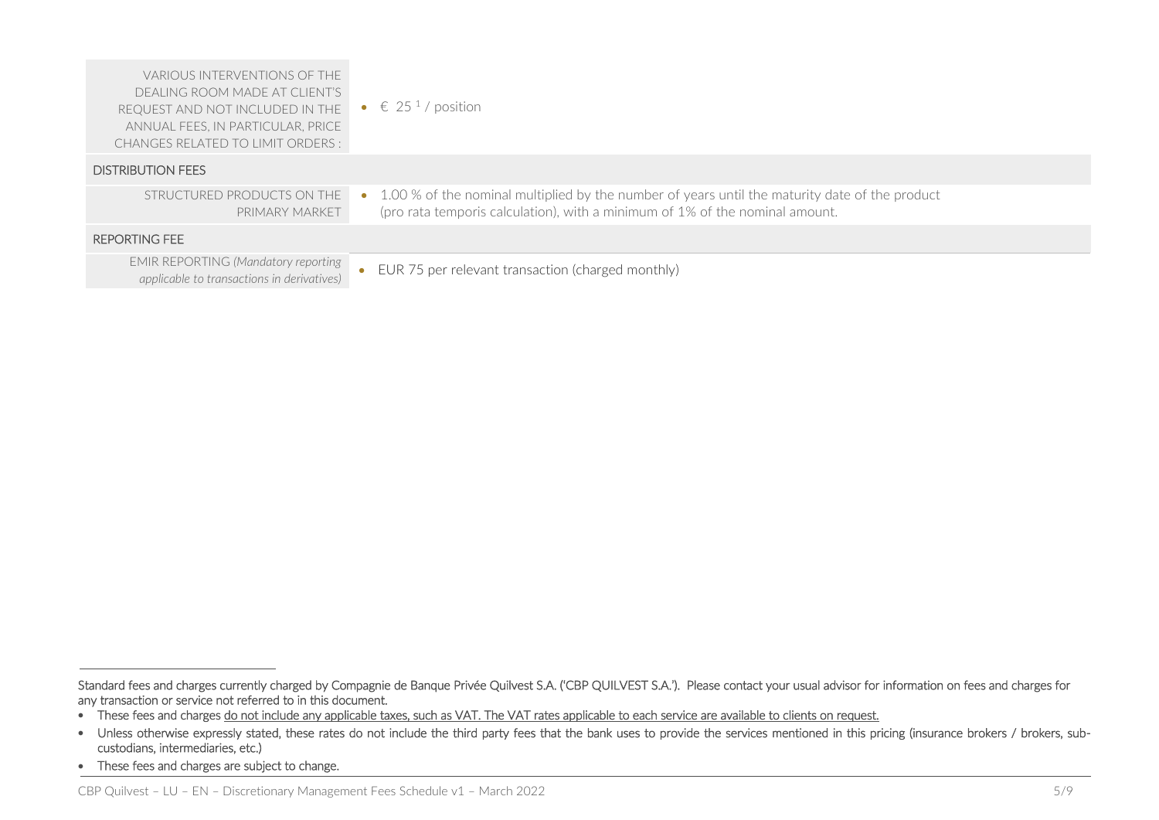| VARIOUS INTERVENTIONS OF THE<br>DEALING ROOM MADE AT CLIENT'S<br>REQUEST AND NOT INCLUDED IN THE<br>ANNUAL FEES, IN PARTICULAR, PRICE<br>CHANGES RELATED TO LIMIT ORDERS : | • $\in$ 25 <sup>1</sup> /position                                                                                                                                                |
|----------------------------------------------------------------------------------------------------------------------------------------------------------------------------|----------------------------------------------------------------------------------------------------------------------------------------------------------------------------------|
| <b>DISTRIBUTION FEES</b>                                                                                                                                                   |                                                                                                                                                                                  |
| STRUCTURED PRODUCTS ON THE<br>PRIMARY MARKET                                                                                                                               | • 1.00 % of the nominal multiplied by the number of years until the maturity date of the product<br>(pro rata temporis calculation), with a minimum of 1% of the nominal amount. |
| <b>REPORTING FEE</b>                                                                                                                                                       |                                                                                                                                                                                  |
| <b>EMIR REPORTING (Mandatory reporting</b><br>applicable to transactions in derivatives)                                                                                   | EUR 75 per relevant transaction (charged monthly)                                                                                                                                |

j

Standard fees and charges currently charged by Compagnie de Banque Privée Quilvest S.A. ('CBP QUILVEST S.A.'). Please contact your usual advisor for information on fees and charges for any transaction or service not referred to in this document.

<sup>•</sup> These fees and charges do not include any applicable taxes, such as VAT. The VAT rates applicable to each service are available to clients on request.

<sup>•</sup> Unless otherwise expressly stated, these rates do not include the third party fees that the bank uses to provide the services mentioned in this pricing (insurance brokers / brokers, subcustodians, intermediaries, etc.)

<sup>•</sup> These fees and charges are subject to change.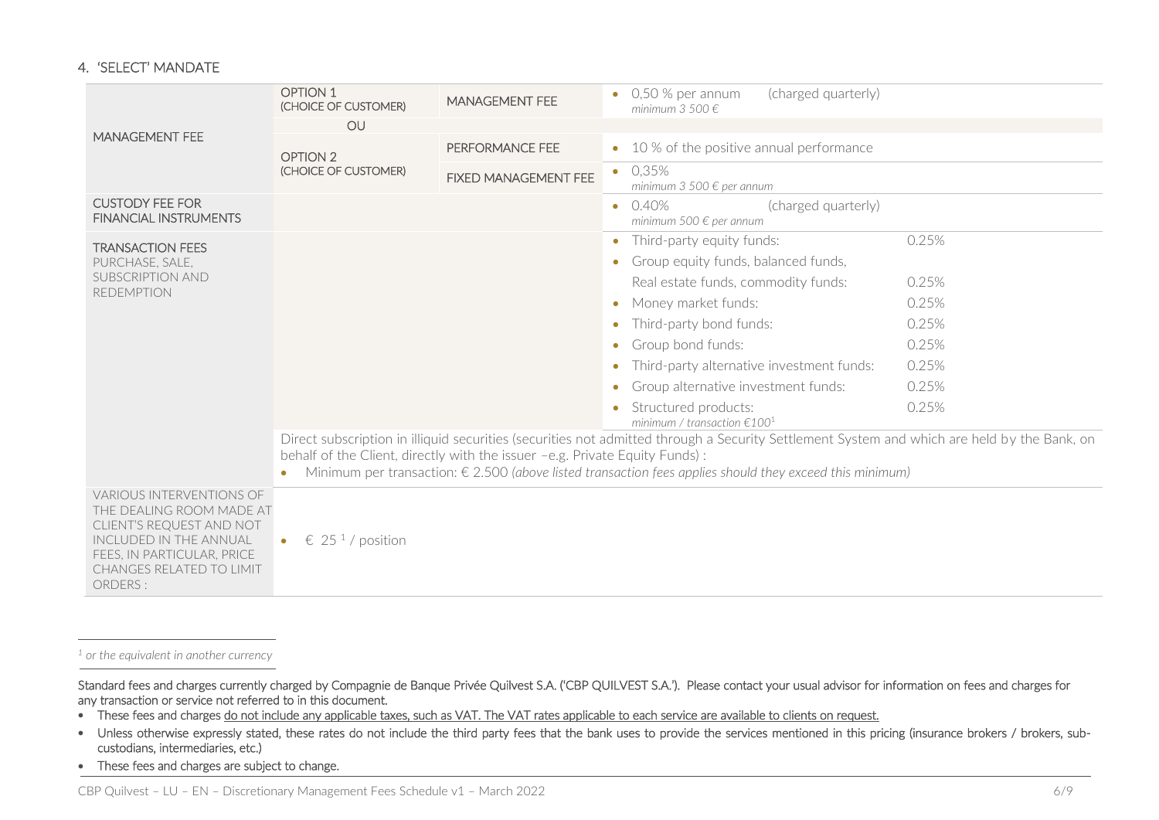#### 4. 'SELECT' MANDATE

|                                                                                                                                                                                               | <b>OPTION 1</b><br>(CHOICE OF CUSTOMER)   | <b>MANAGEMENT FEE</b>                                                       | (charged quarterly)<br>$0.50$ % per annum<br>minimum 3 500 $\in$                                                                                                                                                                                                 |       |
|-----------------------------------------------------------------------------------------------------------------------------------------------------------------------------------------------|-------------------------------------------|-----------------------------------------------------------------------------|------------------------------------------------------------------------------------------------------------------------------------------------------------------------------------------------------------------------------------------------------------------|-------|
| <b>MANAGEMENT FEE</b>                                                                                                                                                                         | OU                                        |                                                                             |                                                                                                                                                                                                                                                                  |       |
|                                                                                                                                                                                               | OPTION 2                                  | PERFORMANCE FEE                                                             | • 10 % of the positive annual performance                                                                                                                                                                                                                        |       |
|                                                                                                                                                                                               | (CHOICE OF CUSTOMER)                      | <b>FIXED MANAGEMENT FEE</b>                                                 | 0.35%<br>$\bullet$<br>minimum 3 500 $\epsilon$ per annum                                                                                                                                                                                                         |       |
| <b>CUSTODY FEE FOR</b><br><b>FINANCIAL INSTRUMENTS</b>                                                                                                                                        |                                           |                                                                             | 0.40%<br>(charged quarterly)<br>$\bullet$<br>minimum 500 € per annum                                                                                                                                                                                             |       |
| <b>TRANSACTION FEES</b>                                                                                                                                                                       |                                           |                                                                             | Third-party equity funds:<br>$\bullet$                                                                                                                                                                                                                           | 0.25% |
| PURCHASE, SALE,                                                                                                                                                                               |                                           |                                                                             | Group equity funds, balanced funds,                                                                                                                                                                                                                              |       |
| <b>SUBSCRIPTION AND</b><br><b>REDEMPTION</b>                                                                                                                                                  |                                           |                                                                             | Real estate funds, commodity funds:                                                                                                                                                                                                                              | 0.25% |
|                                                                                                                                                                                               |                                           |                                                                             | Money market funds:<br>$\bullet$                                                                                                                                                                                                                                 | 0.25% |
|                                                                                                                                                                                               |                                           |                                                                             | Third-party bond funds:                                                                                                                                                                                                                                          | 0.25% |
|                                                                                                                                                                                               |                                           |                                                                             | Group bond funds:                                                                                                                                                                                                                                                | 0.25% |
|                                                                                                                                                                                               |                                           |                                                                             | Third-party alternative investment funds:                                                                                                                                                                                                                        | 0.25% |
|                                                                                                                                                                                               |                                           |                                                                             | Group alternative investment funds:<br>$\bullet$                                                                                                                                                                                                                 | 0.25% |
|                                                                                                                                                                                               |                                           |                                                                             | Structured products:<br>minimum / transaction $\epsilon$ 100 <sup>1</sup>                                                                                                                                                                                        | 0.25% |
|                                                                                                                                                                                               |                                           | behalf of the Client, directly with the issuer -e.g. Private Equity Funds): | Direct subscription in illiquid securities (securities not admitted through a Security Settlement System and which are held by the Bank, on<br>Minimum per transaction: $\epsilon$ 2.500 (above listed transaction fees applies should they exceed this minimum) |       |
| <b>VARIOUS INTERVENTIONS OF</b><br>THE DEALING ROOM MADE AT<br>CLIENT'S REQUEST AND NOT<br>INCLUDED IN THE ANNUAL<br>FEES, IN PARTICULAR, PRICE<br><b>CHANGES RELATED TO LIMIT</b><br>ORDERS: | € 25 <sup>1</sup> / position<br>$\bullet$ |                                                                             |                                                                                                                                                                                                                                                                  |       |

*<sup>1</sup> or the equivalent in another currency*

j

 $\overline{a}$ 

Standard fees and charges currently charged by Compagnie de Banque Privée Quilvest S.A. ('CBP QUILVEST S.A.'). Please contact your usual advisor for information on fees and charges for any transaction or service not referred to in this document.

- These fees and charges do not include any applicable taxes, such as VAT. The VAT rates applicable to each service are available to clients on request.
- Unless otherwise expressly stated, these rates do not include the third party fees that the bank uses to provide the services mentioned in this pricing (insurance brokers / brokers, subcustodians, intermediaries, etc.)
- These fees and charges are subject to change.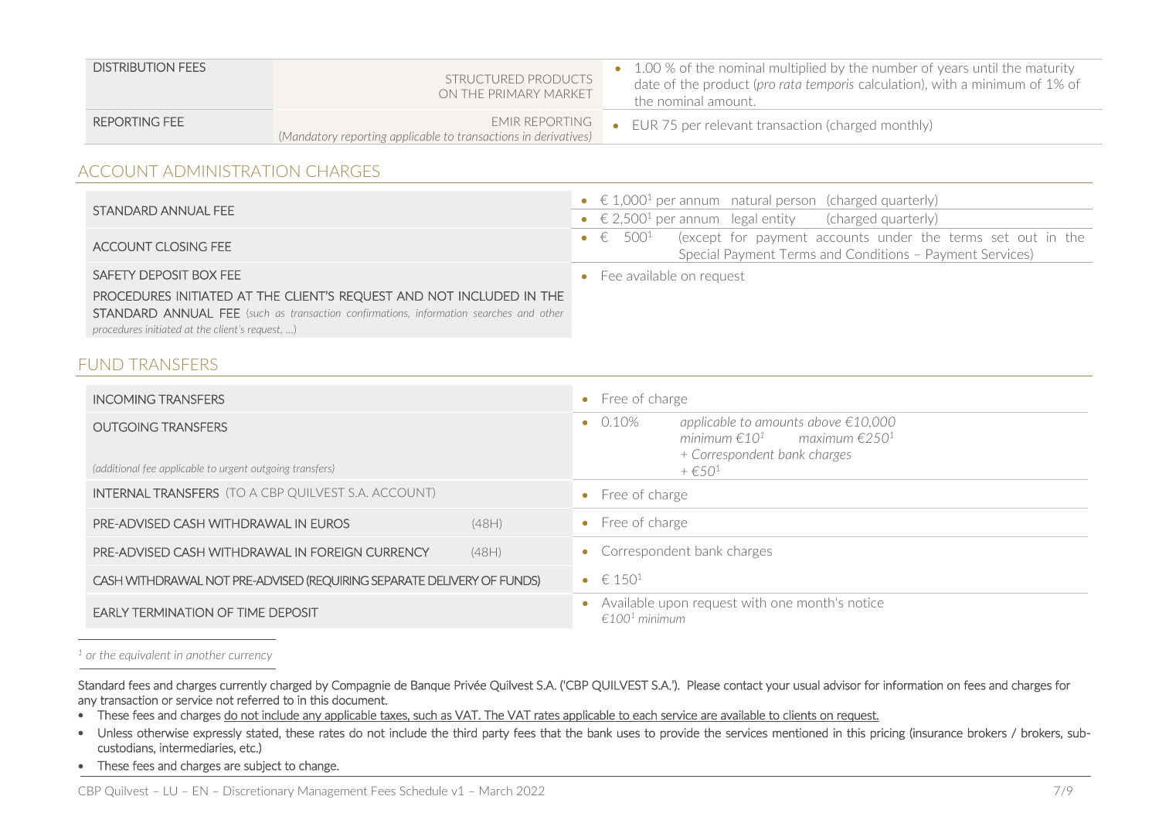| <b>DISTRIBUTION FEES</b> | STRUCTURED PRODUCTS<br>ON THE PRIMARY MARKET                                      | • 1.00 % of the nominal multiplied by the number of years until the maturity<br>date of the product (pro rata temporis calculation), with a minimum of 1% of<br>the nominal amount. |
|--------------------------|-----------------------------------------------------------------------------------|-------------------------------------------------------------------------------------------------------------------------------------------------------------------------------------|
| REPORTING FEE            | EMIR REPORTING<br>(Mandatory reporting applicable to transactions in derivatives) | • EUR 75 per relevant transaction (charged monthly)                                                                                                                                 |

# ACCOUNT ADMINISTRATION CHARGES

|                                                                                               | • $\in$ 1,000 <sup>1</sup> per annum natural person (charged quarterly)                   |
|-----------------------------------------------------------------------------------------------|-------------------------------------------------------------------------------------------|
| STANDARD ANNUAL FEE                                                                           | • $\in$ 2,500 <sup>1</sup> per annum legal entity (charged quarterly)                     |
| ACCOUNT CLOSING FEE                                                                           | • $\epsilon$ 500 <sup>1</sup> (except for payment accounts under the terms set out in the |
|                                                                                               | Special Payment Terms and Conditions - Payment Services)                                  |
| SAFETY DEPOSIT BOX FEE                                                                        | • Fee available on request                                                                |
| PROCEDURES INITIATED AT THE CLIENT'S REQUEST AND NOT INCLUDED IN THE                          |                                                                                           |
| <b>STANDARD ANNUAL FEE</b> (such as transaction confirmations, information searches and other |                                                                                           |
| procedures initiated at the client's request, )                                               |                                                                                           |

# FUND TRANSFERS

| <b>INCOMING TRANSFERS</b>                                                             |       | • Free of charge                    |                                                                                                                                                      |
|---------------------------------------------------------------------------------------|-------|-------------------------------------|------------------------------------------------------------------------------------------------------------------------------------------------------|
| <b>OUTGOING TRANSFERS</b><br>(additional fee applicable to urgent outgoing transfers) |       | $\bullet$ 0.10%                     | applicable to amounts above €10,000<br>minimum $\epsilon 10^1$ maximum $\epsilon 250^1$<br>+ Correspondent bank charges<br>$+$ $\in$ 50 <sup>1</sup> |
| <b>INTERNAL TRANSFERS</b> (TO A CBP QUILVEST S.A. ACCOUNT)                            |       | Free of charge                      |                                                                                                                                                      |
| PRE-ADVISED CASH WITHDRAWAL IN EUROS                                                  | (48H) | • Free of charge                    |                                                                                                                                                      |
| PRE-ADVISED CASH WITHDRAWAL IN FOREIGN CURRENCY                                       | (48H) |                                     | • Correspondent bank charges                                                                                                                         |
| CASH WITHDRAWAL NOT PRE-ADVISED (REQUIRING SEPARATE DELIVERY OF FUNDS)                |       | • $\in 150^1$                       |                                                                                                                                                      |
| <b>EARLY TERMINATION OF TIME DEPOSIT</b>                                              |       | $\epsilon$ 100 <sup>1</sup> minimum | Available upon request with one month's notice                                                                                                       |

#### *<sup>1</sup> or the equivalent in another currency*

j

 $\overline{a}$ 

Standard fees and charges currently charged by Compagnie de Banque Privée Quilvest S.A. ('CBP QUILVEST S.A.'). Please contact your usual advisor for information on fees and charges for any transaction or service not referred to in this document.

- These fees and charges do not include any applicable taxes, such as VAT. The VAT rates applicable to each service are available to clients on request.
- Unless otherwise expressly stated, these rates do not include the third party fees that the bank uses to provide the services mentioned in this pricing (insurance brokers / brokers, subcustodians, intermediaries, etc.)
- These fees and charges are subject to change.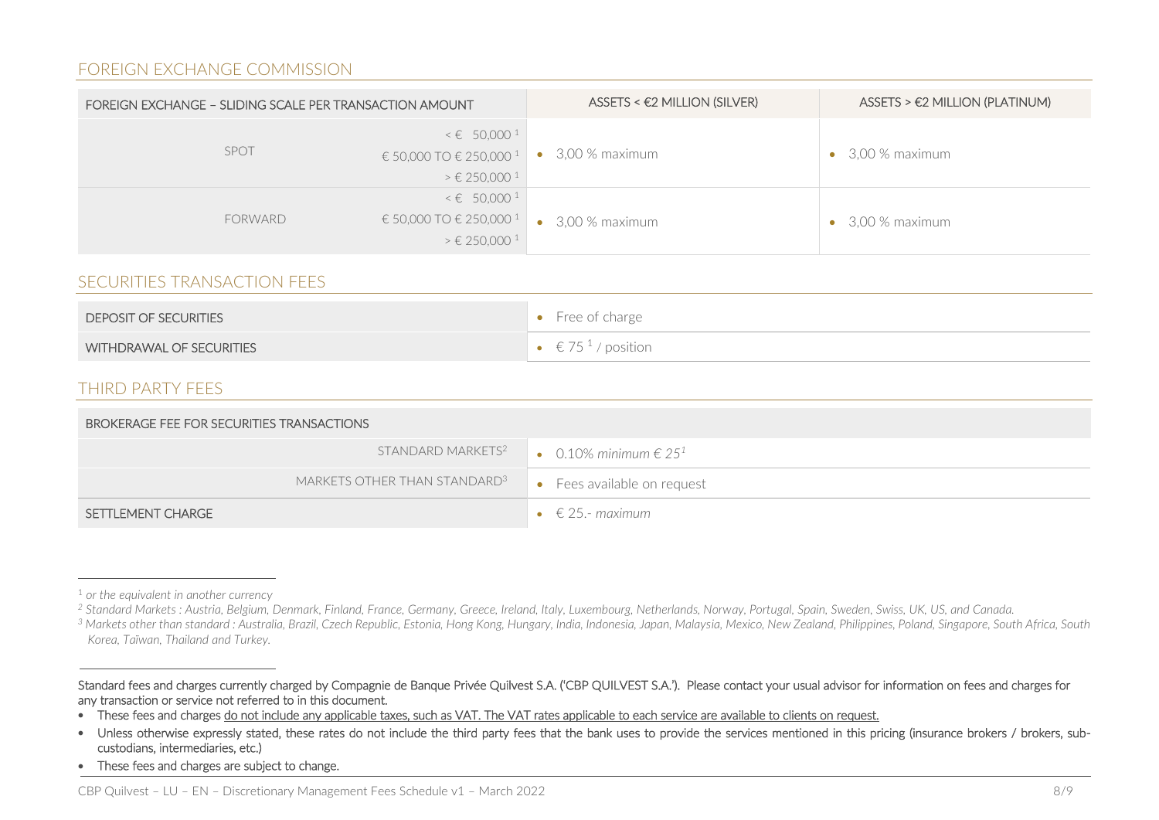## FOREIGN EXCHANGE COMMISSION

| FOREIGN EXCHANGE - SLIDING SCALE PER TRANSACTION AMOUNT |                                                                                                                   | $ASSETS < E2$ MILLION (SILVER) | $ASSETS > E2$ MILLION (PLATINUM) |
|---------------------------------------------------------|-------------------------------------------------------------------------------------------------------------------|--------------------------------|----------------------------------|
| <b>SPOT</b>                                             | $\leq \epsilon$ 50,000 <sup>1</sup><br>€ 50,000 TO € 250,000 1<br>$\geq \epsilon$ 250,000 <sup>1</sup>            | 3,00 % maximum                 | $\bullet$ 3,00 % maximum         |
| <b>FORWARD</b>                                          | $\leq \epsilon$ 50,000 <sup>1</sup><br>€ 50,000 TO € 250,000 <sup>1</sup><br>$\geq \epsilon$ 250,000 <sup>1</sup> | $\bullet$ 3,00 % maximum       | $\bullet$ 3,00 % maximum         |

### SECURITIES TRANSACTION FEES

| <b>DEPOSIT OF SECURITIES</b> | $\bullet$ Free of charge |
|------------------------------|--------------------------|
| WITHDRAWAL OF SECURITIES     | $\in$ 75 $^1$ / position |

### THIRD PARTY FEES

| BROKERAGE FEE FOR SECURITIES TRANSACTIONS |                             |  |
|-------------------------------------------|-----------------------------|--|
| STANDARD MARKETS <sup>2</sup>             | • 0.10% minimum $\in 25^1$  |  |
| MARKETS OTHER THAN STANDARD <sup>3</sup>  | • Fees available on request |  |
| SETTLEMENT CHARGE                         | $\bullet \in$ 25.- maximum  |  |

j

<sup>1</sup> *or the equivalent in another currency*

*<sup>2</sup> Standard Markets : Austria, Belgium, Denmark, Finland, France, Germany, Greece, Ireland, Italy, Luxembourg, Netherlands, Norway, Portugal, Spain, Sweden, Swiss, UK, US, and Canada.*

*<sup>3</sup> Markets other than standard : Australia, Brazil, Czech Republic, Estonia, Hong Kong, Hungary, India, Indonesia, Japan, Malaysia, Mexico, New Zealand, Philippines, Poland, Singapore, South Africa, South Korea, Taïwan, Thailand and Turkey.*

Standard fees and charges currently charged by Compagnie de Banque Privée Quilvest S.A. ('CBP QUILVEST S.A.'). Please contact your usual advisor for information on fees and charges for any transaction or service not referred to in this document.

<sup>•</sup> These fees and charges do not include any applicable taxes, such as VAT. The VAT rates applicable to each service are available to clients on request.

<sup>•</sup> Unless otherwise expressly stated, these rates do not include the third party fees that the bank uses to provide the services mentioned in this pricing (insurance brokers / brokers, subcustodians, intermediaries, etc.)

<sup>•</sup> These fees and charges are subject to change.